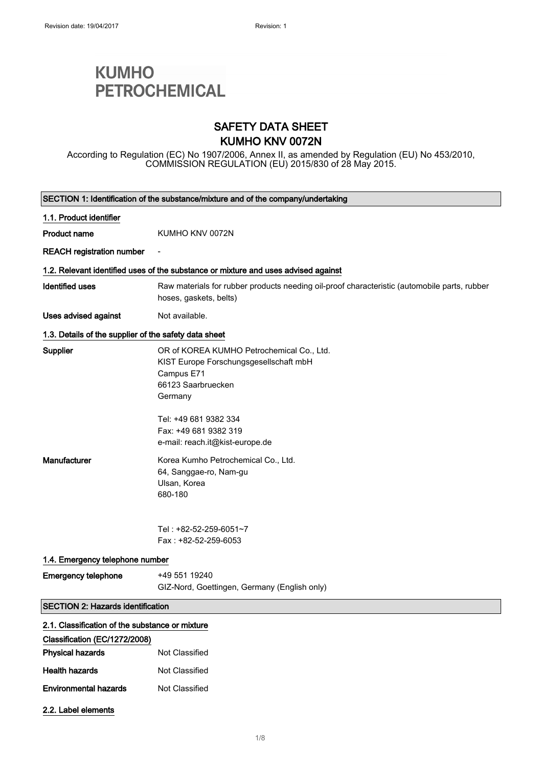2.2. Label elements

# **KUMHO PETROCHEMICAL**

### SAFETY DATA SHEET KUMHO KNV 0072N

According to Regulation (EC) No 1907/2006, Annex II, as amended by Regulation (EU) No 453/2010, COMMISSION REGULATION (EU) 2015/830 of 28 May 2015.

| SECTION 1: Identification of the substance/mixture and of the company/undertaking |                                                                                                                                    |  |
|-----------------------------------------------------------------------------------|------------------------------------------------------------------------------------------------------------------------------------|--|
| 1.1. Product identifier                                                           |                                                                                                                                    |  |
| <b>Product name</b>                                                               | KUMHO KNV 0072N                                                                                                                    |  |
| <b>REACH registration number</b>                                                  |                                                                                                                                    |  |
|                                                                                   | 1.2. Relevant identified uses of the substance or mixture and uses advised against                                                 |  |
| <b>Identified uses</b>                                                            | Raw materials for rubber products needing oil-proof characteristic (automobile parts, rubber<br>hoses, gaskets, belts)             |  |
| <b>Uses advised against</b>                                                       | Not available.                                                                                                                     |  |
| 1.3. Details of the supplier of the safety data sheet                             |                                                                                                                                    |  |
| Supplier                                                                          | OR of KOREA KUMHO Petrochemical Co., Ltd.<br>KIST Europe Forschungsgesellschaft mbH<br>Campus E71<br>66123 Saarbruecken<br>Germany |  |
|                                                                                   | Tel: +49 681 9382 334<br>Fax: +49 681 9382 319<br>e-mail: reach.it@kist-europe.de                                                  |  |
| Manufacturer                                                                      | Korea Kumho Petrochemical Co., Ltd.<br>64, Sanggae-ro, Nam-gu<br>Ulsan, Korea<br>680-180                                           |  |
|                                                                                   | Tel: +82-52-259-6051~7<br>Fax: +82-52-259-6053                                                                                     |  |
| 1.4. Emergency telephone number                                                   |                                                                                                                                    |  |
| <b>Emergency telephone</b>                                                        | +49 551 19240<br>GIZ-Nord, Goettingen, Germany (English only)                                                                      |  |
| <b>SECTION 2: Hazards identification</b>                                          |                                                                                                                                    |  |
| 2.1. Classification of the substance or mixture                                   |                                                                                                                                    |  |
| Classification (EC/1272/2008)                                                     |                                                                                                                                    |  |
| <b>Physical hazards</b>                                                           | Not Classified                                                                                                                     |  |
| <b>Health hazards</b>                                                             | Not Classified                                                                                                                     |  |
| <b>Environmental hazards</b>                                                      | Not Classified                                                                                                                     |  |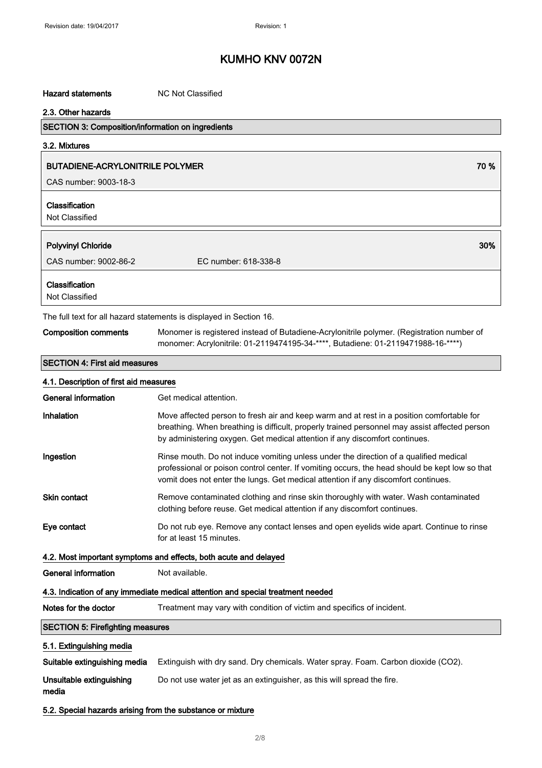#### Hazard statements MC Not Classified

### 2.3. Other hazards

### SECTION 3: Composition/information on ingredients

3.2. Mixtures

### BUTADIENE-ACRYLONITRILE POLYMER **1999 SEPTEMBER 1999 SEPTEMBER 1999 SEPTEMBER 1999** S

CAS number: 9003-18-3

### Classification

Not Classified

| <b>Polyvinyl Chloride</b>                                          | 30%                  |
|--------------------------------------------------------------------|----------------------|
| CAS number: 9002-86-2                                              | EC number: 618-338-8 |
| Classification<br>Not Classified                                   |                      |
| The full text for all herera etatements is displayed in Costian 16 |                      |

#### The full text for all hazard statements is displayed in Section 16.

| <b>Composition comments</b> | Monomer is registered instead of Butadiene-Acrylonitrile polymer. (Registration number of |
|-----------------------------|-------------------------------------------------------------------------------------------|
|                             | monomer: Acrylonitrile: 01-2119474195-34-****, Butadiene: 01-2119471988-16-****)          |

#### SECTION 4: First aid measures

| 4.1. Description of first aid measures                           |                                                                                                                                                                                                                                                                               |
|------------------------------------------------------------------|-------------------------------------------------------------------------------------------------------------------------------------------------------------------------------------------------------------------------------------------------------------------------------|
| <b>General information</b>                                       | Get medical attention.                                                                                                                                                                                                                                                        |
| Inhalation                                                       | Move affected person to fresh air and keep warm and at rest in a position comfortable for<br>breathing. When breathing is difficult, properly trained personnel may assist affected person<br>by administering oxygen. Get medical attention if any discomfort continues.     |
| Ingestion                                                        | Rinse mouth. Do not induce vomiting unless under the direction of a qualified medical<br>professional or poison control center. If vomiting occurs, the head should be kept low so that<br>vomit does not enter the lungs. Get medical attention if any discomfort continues. |
| <b>Skin contact</b>                                              | Remove contaminated clothing and rinse skin thoroughly with water. Wash contaminated<br>clothing before reuse. Get medical attention if any discomfort continues.                                                                                                             |
| Eye contact                                                      | Do not rub eye. Remove any contact lenses and open eyelids wide apart. Continue to rinse<br>for at least 15 minutes.                                                                                                                                                          |
| 4.2. Most important symptoms and effects, both acute and delayed |                                                                                                                                                                                                                                                                               |
| <b>General information</b>                                       | Not available.                                                                                                                                                                                                                                                                |
|                                                                  | 4.3. Indication of any immediate medical attention and special treatment needed                                                                                                                                                                                               |
| Notes for the doctor                                             | Treatment may vary with condition of victim and specifics of incident.                                                                                                                                                                                                        |
| <b>SECTION 5: Firefighting measures</b>                          |                                                                                                                                                                                                                                                                               |
| 5.1. Extinguishing media                                         |                                                                                                                                                                                                                                                                               |
| Suitable extinguishing media                                     | Extinguish with dry sand. Dry chemicals. Water spray. Foam. Carbon dioxide (CO2).                                                                                                                                                                                             |
| Unsuitable extinguishing<br>media                                | Do not use water jet as an extinguisher, as this will spread the fire.                                                                                                                                                                                                        |
| 5.2. Special hazards arising from the substance or mixture       |                                                                                                                                                                                                                                                                               |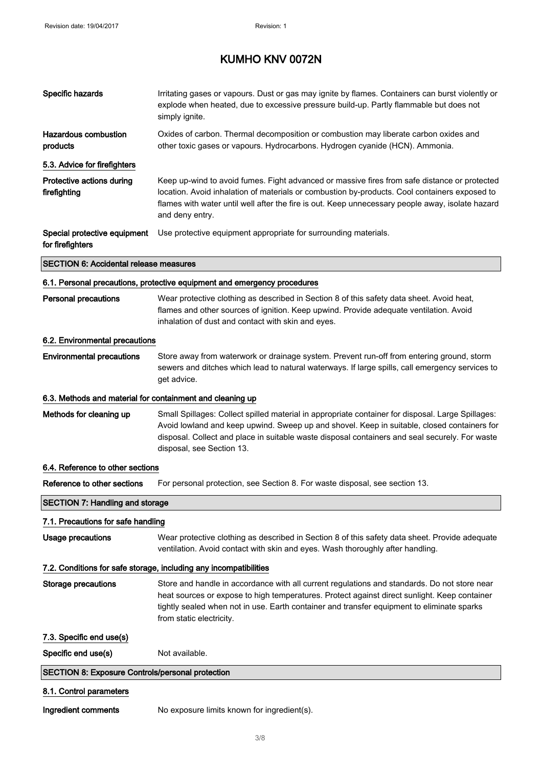| Specific hazards                                          | Irritating gases or vapours. Dust or gas may ignite by flames. Containers can burst violently or<br>explode when heated, due to excessive pressure build-up. Partly flammable but does not<br>simply ignite.                                                                                                                    |
|-----------------------------------------------------------|---------------------------------------------------------------------------------------------------------------------------------------------------------------------------------------------------------------------------------------------------------------------------------------------------------------------------------|
| Hazardous combustion<br>products                          | Oxides of carbon. Thermal decomposition or combustion may liberate carbon oxides and<br>other toxic gases or vapours. Hydrocarbons. Hydrogen cyanide (HCN). Ammonia.                                                                                                                                                            |
| 5.3. Advice for firefighters                              |                                                                                                                                                                                                                                                                                                                                 |
| Protective actions during<br>firefighting                 | Keep up-wind to avoid fumes. Fight advanced or massive fires from safe distance or protected<br>location. Avoid inhalation of materials or combustion by-products. Cool containers exposed to<br>flames with water until well after the fire is out. Keep unnecessary people away, isolate hazard<br>and deny entry.            |
| Special protective equipment<br>for firefighters          | Use protective equipment appropriate for surrounding materials.                                                                                                                                                                                                                                                                 |
| <b>SECTION 6: Accidental release measures</b>             |                                                                                                                                                                                                                                                                                                                                 |
|                                                           | 6.1. Personal precautions, protective equipment and emergency procedures                                                                                                                                                                                                                                                        |
| <b>Personal precautions</b>                               | Wear protective clothing as described in Section 8 of this safety data sheet. Avoid heat,<br>flames and other sources of ignition. Keep upwind. Provide adequate ventilation. Avoid<br>inhalation of dust and contact with skin and eyes.                                                                                       |
| 6.2. Environmental precautions                            |                                                                                                                                                                                                                                                                                                                                 |
| <b>Environmental precautions</b>                          | Store away from waterwork or drainage system. Prevent run-off from entering ground, storm<br>sewers and ditches which lead to natural waterways. If large spills, call emergency services to<br>get advice.                                                                                                                     |
| 6.3. Methods and material for containment and cleaning up |                                                                                                                                                                                                                                                                                                                                 |
| Methods for cleaning up                                   | Small Spillages: Collect spilled material in appropriate container for disposal. Large Spillages:<br>Avoid lowland and keep upwind. Sweep up and shovel. Keep in suitable, closed containers for<br>disposal. Collect and place in suitable waste disposal containers and seal securely. For waste<br>disposal, see Section 13. |
| 6.4. Reference to other sections                          |                                                                                                                                                                                                                                                                                                                                 |
| Reference to other sections                               | For personal protection, see Section 8. For waste disposal, see section 13.                                                                                                                                                                                                                                                     |
| <b>SECTION 7: Handling and storage</b>                    |                                                                                                                                                                                                                                                                                                                                 |
| 7.1. Precautions for safe handling                        |                                                                                                                                                                                                                                                                                                                                 |
| <b>Usage precautions</b>                                  | Wear protective clothing as described in Section 8 of this safety data sheet. Provide adequate<br>ventilation. Avoid contact with skin and eyes. Wash thoroughly after handling.                                                                                                                                                |
|                                                           | 7.2. Conditions for safe storage, including any incompatibilities                                                                                                                                                                                                                                                               |
| <b>Storage precautions</b>                                | Store and handle in accordance with all current regulations and standards. Do not store near<br>heat sources or expose to high temperatures. Protect against direct sunlight. Keep container<br>tightly sealed when not in use. Earth container and transfer equipment to eliminate sparks<br>from static electricity.          |
| 7.3. Specific end use(s)                                  |                                                                                                                                                                                                                                                                                                                                 |
| Specific end use(s)                                       | Not available.                                                                                                                                                                                                                                                                                                                  |
| <b>SECTION 8: Exposure Controls/personal protection</b>   |                                                                                                                                                                                                                                                                                                                                 |
| 8.1. Control parameters                                   |                                                                                                                                                                                                                                                                                                                                 |
| Ingredient comments                                       | No exposure limits known for ingredient(s).                                                                                                                                                                                                                                                                                     |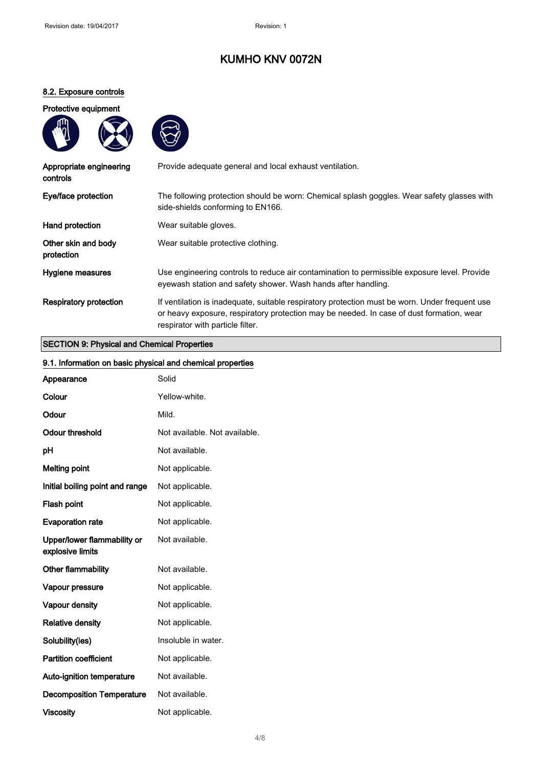### 8.2. Exposure controls

### Protective equipment





| Appropriate engineering<br>controls | Provide adequate general and local exhaust ventilation.                                                                                                                                                                        |
|-------------------------------------|--------------------------------------------------------------------------------------------------------------------------------------------------------------------------------------------------------------------------------|
| Eye/face protection                 | The following protection should be worn: Chemical splash goggles. Wear safety glasses with<br>side-shields conforming to EN166.                                                                                                |
| Hand protection                     | Wear suitable gloves.                                                                                                                                                                                                          |
| Other skin and body<br>protection   | Wear suitable protective clothing.                                                                                                                                                                                             |
| Hygiene measures                    | Use engineering controls to reduce air contamination to permissible exposure level. Provide<br>eyewash station and safety shower. Wash hands after handling.                                                                   |
| Respiratory protection              | If ventilation is inadequate, suitable respiratory protection must be worn. Under frequent use<br>or heavy exposure, respiratory protection may be needed. In case of dust formation, wear<br>respirator with particle filter. |

#### SECTION 9: Physical and Chemical Properties

| 9.1. Information on basic physical and chemical properties |                               |
|------------------------------------------------------------|-------------------------------|
| Appearance                                                 | Solid                         |
| Colour                                                     | Yellow-white.                 |
| Odour                                                      | Mild.                         |
| <b>Odour threshold</b>                                     | Not available. Not available. |
| pH                                                         | Not available.                |
| <b>Melting point</b>                                       | Not applicable.               |
| Initial boiling point and range                            | Not applicable.               |
| Flash point                                                | Not applicable.               |
| <b>Evaporation rate</b>                                    | Not applicable.               |
| Upper/lower flammability or<br>explosive limits            | Not available.                |
| Other flammability                                         | Not available.                |
| Vapour pressure                                            | Not applicable.               |
| Vapour density                                             | Not applicable.               |
| <b>Relative density</b>                                    | Not applicable.               |
| Solubility(ies)                                            | Insoluble in water.           |
| <b>Partition coefficient</b>                               | Not applicable.               |
| Auto-ignition temperature                                  | Not available.                |
| <b>Decomposition Temperature</b>                           | Not available.                |
| <b>Viscosity</b>                                           | Not applicable.               |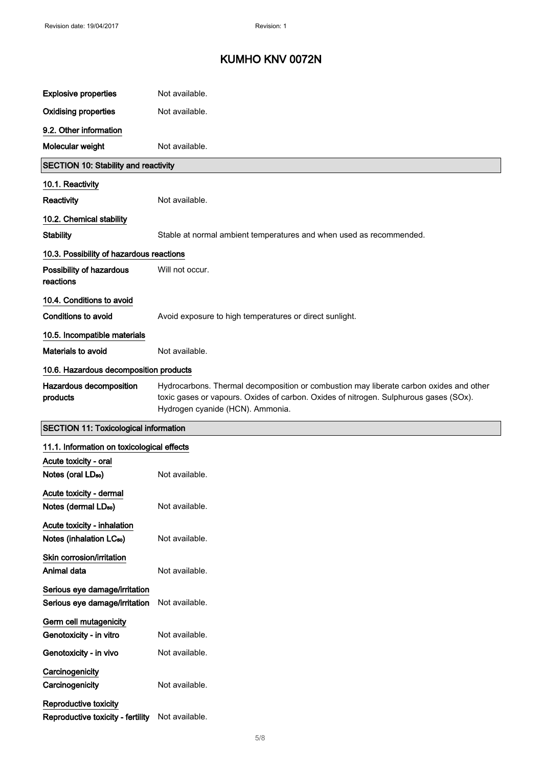| <b>Explosive properties</b>                                         | Not available.                                                                                                                                                                                                      |
|---------------------------------------------------------------------|---------------------------------------------------------------------------------------------------------------------------------------------------------------------------------------------------------------------|
| <b>Oxidising properties</b>                                         | Not available.                                                                                                                                                                                                      |
| 9.2. Other information                                              |                                                                                                                                                                                                                     |
| Molecular weight                                                    | Not available.                                                                                                                                                                                                      |
| <b>SECTION 10: Stability and reactivity</b>                         |                                                                                                                                                                                                                     |
| 10.1. Reactivity                                                    |                                                                                                                                                                                                                     |
| Reactivity                                                          | Not available.                                                                                                                                                                                                      |
| 10.2. Chemical stability                                            |                                                                                                                                                                                                                     |
| <b>Stability</b>                                                    | Stable at normal ambient temperatures and when used as recommended.                                                                                                                                                 |
| 10.3. Possibility of hazardous reactions                            |                                                                                                                                                                                                                     |
| Possibility of hazardous<br>reactions                               | Will not occur.                                                                                                                                                                                                     |
| 10.4. Conditions to avoid                                           |                                                                                                                                                                                                                     |
| <b>Conditions to avoid</b>                                          | Avoid exposure to high temperatures or direct sunlight.                                                                                                                                                             |
| 10.5. Incompatible materials                                        |                                                                                                                                                                                                                     |
| Materials to avoid                                                  | Not available.                                                                                                                                                                                                      |
| 10.6. Hazardous decomposition products                              |                                                                                                                                                                                                                     |
| Hazardous decomposition<br>products                                 | Hydrocarbons. Thermal decomposition or combustion may liberate carbon oxides and other<br>toxic gases or vapours. Oxides of carbon. Oxides of nitrogen. Sulphurous gases (SOx).<br>Hydrogen cyanide (HCN). Ammonia. |
| <b>SECTION 11: Toxicological information</b>                        |                                                                                                                                                                                                                     |
| 11.1. Information on toxicological effects                          |                                                                                                                                                                                                                     |
| Acute toxicity - oral                                               |                                                                                                                                                                                                                     |
| Notes (oral LD <sub>50</sub> )                                      | Not available.                                                                                                                                                                                                      |
| Acute toxicity - dermal<br>Notes (dermal LD <sub>50</sub> )         | Not available.                                                                                                                                                                                                      |
| Acute toxicity - inhalation<br>Notes (inhalation LC <sub>50</sub> ) | Not available.                                                                                                                                                                                                      |
| Skin corrosion/irritation<br>Animal data                            | Not available.                                                                                                                                                                                                      |
| Serious eye damage/irritation<br>Serious eye damage/irritation      | Not available.                                                                                                                                                                                                      |
| Germ cell mutagenicity                                              |                                                                                                                                                                                                                     |
| Genotoxicity - in vitro                                             | Not available.                                                                                                                                                                                                      |
| Genotoxicity - in vivo                                              | Not available.                                                                                                                                                                                                      |
| Carcinogenicity<br>Carcinogenicity                                  | Not available.                                                                                                                                                                                                      |
| Reproductive toxicity                                               |                                                                                                                                                                                                                     |

Reproductive toxicity - fertility Not available.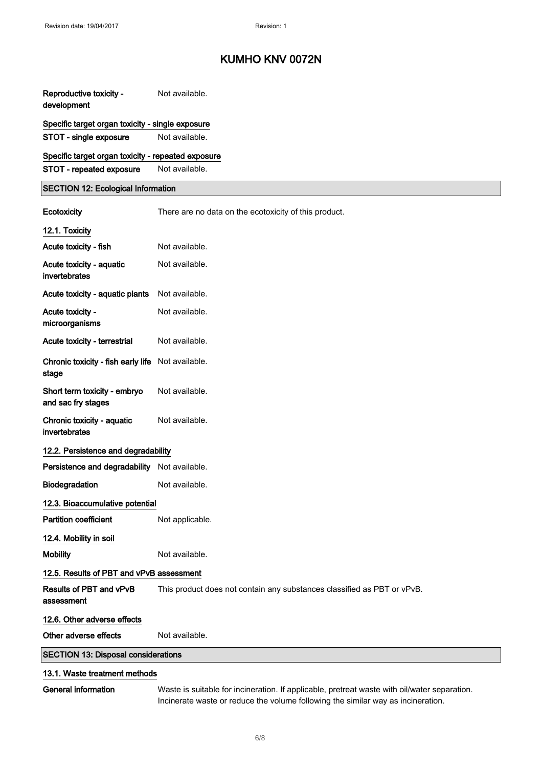| Reproductive toxicity -<br>development                     | Not available.                                                          |
|------------------------------------------------------------|-------------------------------------------------------------------------|
| Specific target organ toxicity - single exposure           |                                                                         |
| STOT - single exposure                                     | Not available.                                                          |
| Specific target organ toxicity - repeated exposure         |                                                                         |
| STOT - repeated exposure                                   | Not available.                                                          |
| <b>SECTION 12: Ecological Information</b>                  |                                                                         |
| Ecotoxicity                                                | There are no data on the ecotoxicity of this product.                   |
| 12.1. Toxicity                                             |                                                                         |
| Acute toxicity - fish                                      | Not available.                                                          |
| Acute toxicity - aquatic<br>invertebrates                  | Not available.                                                          |
| Acute toxicity - aquatic plants                            | Not available.                                                          |
| Acute toxicity -<br>microorganisms                         | Not available.                                                          |
| Acute toxicity - terrestrial                               | Not available.                                                          |
| Chronic toxicity - fish early life Not available.<br>stage |                                                                         |
| Short term toxicity - embryo<br>and sac fry stages         | Not available.                                                          |
| Chronic toxicity - aquatic<br>invertebrates                | Not available.                                                          |
| 12.2. Persistence and degradability                        |                                                                         |
| Persistence and degradability Not available.               |                                                                         |
| <b>Biodegradation</b>                                      | Not available.                                                          |
| 12.3. Bioaccumulative potential                            |                                                                         |
| <b>Partition coefficient</b>                               | Not applicable.                                                         |
| 12.4. Mobility in soil                                     |                                                                         |
| <b>Mobility</b>                                            | Not available.                                                          |
| 12.5. Results of PBT and vPvB assessment                   |                                                                         |
| Results of PBT and vPvB<br>assessment                      | This product does not contain any substances classified as PBT or vPvB. |
| 12.6. Other adverse effects                                |                                                                         |
| Other adverse effects                                      | Not available.                                                          |
| <b>SECTION 13: Disposal considerations</b>                 |                                                                         |
| 13.1. Waste treatment methods                              |                                                                         |
|                                                            |                                                                         |

General information Waste is suitable for incineration. If applicable, pretreat waste with oil/water separation. Incinerate waste or reduce the volume following the similar way as incineration.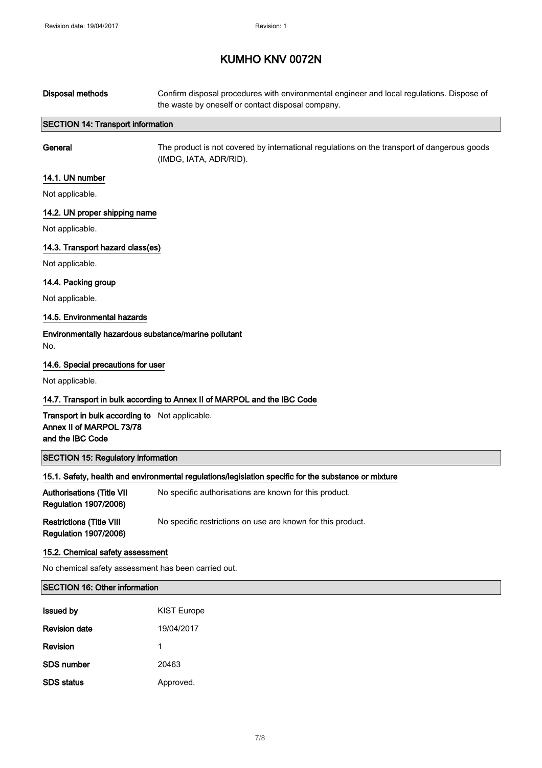| <b>Disposal methods</b>                                                                        | Confirm disposal procedures with environmental engineer and local regulations. Dispose of<br>the waste by oneself or contact disposal company. |
|------------------------------------------------------------------------------------------------|------------------------------------------------------------------------------------------------------------------------------------------------|
| <b>SECTION 14: Transport information</b>                                                       |                                                                                                                                                |
| General                                                                                        | The product is not covered by international regulations on the transport of dangerous goods<br>(IMDG, IATA, ADR/RID).                          |
| 14.1. UN number                                                                                |                                                                                                                                                |
| Not applicable.                                                                                |                                                                                                                                                |
| 14.2. UN proper shipping name                                                                  |                                                                                                                                                |
| Not applicable.                                                                                |                                                                                                                                                |
| 14.3. Transport hazard class(es)                                                               |                                                                                                                                                |
| Not applicable.                                                                                |                                                                                                                                                |
| 14.4. Packing group                                                                            |                                                                                                                                                |
| Not applicable.                                                                                |                                                                                                                                                |
| 14.5. Environmental hazards                                                                    |                                                                                                                                                |
| Environmentally hazardous substance/marine pollutant<br>No.                                    |                                                                                                                                                |
| 14.6. Special precautions for user                                                             |                                                                                                                                                |
| Not applicable.                                                                                |                                                                                                                                                |
|                                                                                                | 14.7. Transport in bulk according to Annex II of MARPOL and the IBC Code                                                                       |
| Transport in bulk according to Not applicable.<br>Annex II of MARPOL 73/78<br>and the IBC Code |                                                                                                                                                |
| <b>SECTION 15: Regulatory information</b>                                                      |                                                                                                                                                |
|                                                                                                | 15.1. Safety, health and environmental regulations/legislation specific for the substance or mixture                                           |
| <b>Authorisations (Title VII</b><br><b>Regulation 1907/2006)</b>                               | No specific authorisations are known for this product.                                                                                         |
| <b>Restrictions (Title VIII</b><br><b>Regulation 1907/2006)</b>                                | No specific restrictions on use are known for this product.                                                                                    |
| 15.2. Chemical safety assessment                                                               |                                                                                                                                                |
| No chemical safety assessment has been carried out.                                            |                                                                                                                                                |
| <b>SECTION 16: Other information</b>                                                           |                                                                                                                                                |
| <b>Issued by</b>                                                                               | <b>KIST Europe</b>                                                                                                                             |
| <b>Revision date</b>                                                                           | 19/04/2017                                                                                                                                     |
|                                                                                                |                                                                                                                                                |
| Revision                                                                                       | 1                                                                                                                                              |